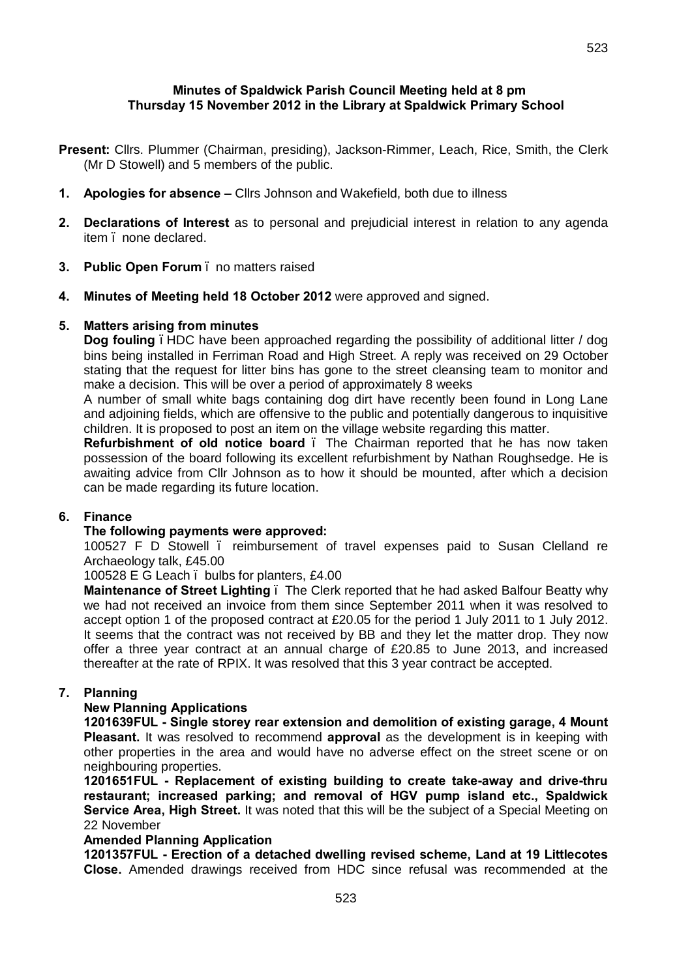# **Minutes of Spaldwick Parish Council Meeting held at 8 pm Thursday 15 November 2012 in the Library at Spaldwick Primary School**

- **Present:** Cllrs. Plummer (Chairman, presiding), Jackson-Rimmer, Leach, Rice, Smith, the Clerk (Mr D Stowell) and 5 members of the public.
- **1. Apologies for absence –** Cllrs Johnson and Wakefield, both due to illness
- **2. Declarations of Interest** as to personal and prejudicial interest in relation to any agenda item – none declared.
- **3. Public Open Forum** no matters raised
- **4. Minutes of Meeting held 18 October 2012** were approved and signed.

### **5. Matters arising from minutes**

**Dog fouling** . HDC have been approached regarding the possibility of additional litter / dog bins being installed in Ferriman Road and High Street. A reply was received on 29 October stating that the request for litter bins has gone to the street cleansing team to monitor and make a decision. This will be over a period of approximately 8 weeks

A number of small white bags containing dog dirt have recently been found in Long Lane and adjoining fields, which are offensive to the public and potentially dangerous to inquisitive children. It is proposed to post an item on the village website regarding this matter.

**Refurbishment of old notice board** – The Chairman reported that he has now taken possession of the board following its excellent refurbishment by Nathan Roughsedge. He is awaiting advice from Cllr Johnson as to how it should be mounted, after which a decision can be made regarding its future location.

# **6. Finance**

### **The following payments were approved:**

100527 F D Stowell – reimbursement of travel expenses paid to Susan Clelland re Archaeology talk, £45.00

100528 E G Leach . bulbs for planters, £4.00

**Maintenance of Street Lighting** – The Clerk reported that he had asked Balfour Beatty why we had not received an invoice from them since September 2011 when it was resolved to accept option 1 of the proposed contract at £20.05 for the period 1 July 2011 to 1 July 2012. It seems that the contract was not received by BB and they let the matter drop. They now offer a three year contract at an annual charge of £20.85 to June 2013, and increased thereafter at the rate of RPIX. It was resolved that this 3 year contract be accepted.

### **7. Planning**

## **New Planning Applications**

**1201639FUL - Single storey rear extension and demolition of existing garage, 4 Mount Pleasant.** It was resolved to recommend **approval** as the development is in keeping with other properties in the area and would have no adverse effect on the street scene or on neighbouring properties.

**1201651FUL - Replacement of existing building to create take-away and drive-thru restaurant; increased parking; and removal of HGV pump island etc., Spaldwick Service Area, High Street.** It was noted that this will be the subject of a Special Meeting on 22 November

### **Amended Planning Application**

**1201357FUL - Erection of a detached dwelling revised scheme, Land at 19 Littlecotes Close.** Amended drawings received from HDC since refusal was recommended at the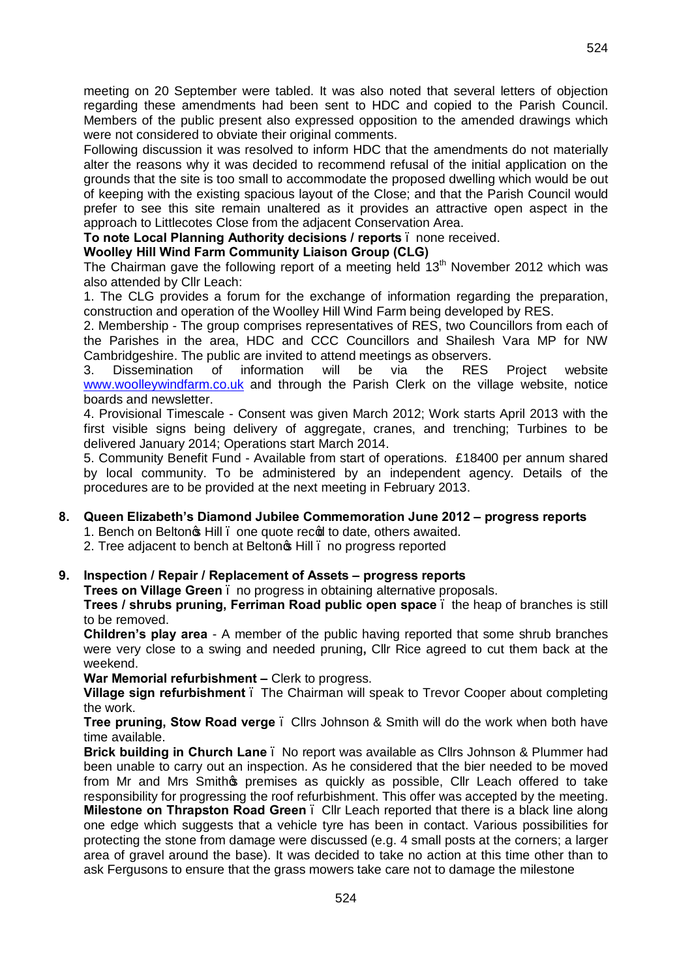meeting on 20 September were tabled. It was also noted that several letters of objection regarding these amendments had been sent to HDC and copied to the Parish Council. Members of the public present also expressed opposition to the amended drawings which were not considered to obviate their original comments.

Following discussion it was resolved to inform HDC that the amendments do not materially alter the reasons why it was decided to recommend refusal of the initial application on the grounds that the site is too small to accommodate the proposed dwelling which would be out of keeping with the existing spacious layout of the Close; and that the Parish Council would prefer to see this site remain unaltered as it provides an attractive open aspect in the approach to Littlecotes Close from the adjacent Conservation Area.

**To note Local Planning Authority decisions / reports** – none received.

# **Woolley Hill Wind Farm Community Liaison Group (CLG)**

The Chairman gave the following report of a meeting held  $13<sup>th</sup>$  November 2012 which was also attended by Cllr Leach:

1. The CLG provides a forum for the exchange of information regarding the preparation, construction and operation of the Woolley Hill Wind Farm being developed by RES.

2. Membership - The group comprises representatives of RES, two Councillors from each of the Parishes in the area, HDC and CCC Councillors and Shailesh Vara MP for NW Cambridgeshire. The public are invited to attend meetings as observers.

3. Dissemination of information will be via the RES Project website [www.woolleywindfarm.co.uk](http://www.woolleywindfarm.co.uk/) and through the Parish Clerk on the village website, notice boards and newsletter.

4. Provisional Timescale - Consent was given March 2012; Work starts April 2013 with the first visible signs being delivery of aggregate, cranes, and trenching; Turbines to be delivered January 2014; Operations start March 2014.

5. Community Benefit Fund - Available from start of operations. £18400 per annum shared by local community. To be administered by an independent agency. Details of the procedures are to be provided at the next meeting in February 2013.

# **8. Queen Elizabeth's Diamond Jubilee Commemoration June 2012 – progress reports**

1. Bench on Belton<sub>®</sub> Hill . one quote recod to date, others awaited.

2. Tree adjacent to bench at Belton<sup>®</sup> Hill . no progress reported

# **9. Inspection / Repair / Replacement of Assets – progress reports**

**Trees on Village Green** – no progress in obtaining alternative proposals.

**Trees / shrubs pruning, Ferriman Road public open space** – the heap of branches is still to be removed.

**Children's play area** - A member of the public having reported that some shrub branches were very close to a swing and needed pruning**,** Cllr Rice agreed to cut them back at the weekend.

**War Memorial refurbishment –** Clerk to progress.

**Village sign refurbishment** – The Chairman will speak to Trevor Cooper about completing the work.

**Tree pruning, Stow Road verge** . Cllrs Johnson & Smith will do the work when both have time available.

**Brick building in Church Lane** – No report was available as Cllrs Johnson & Plummer had been unable to carry out an inspection. As he considered that the bier needed to be moved from Mr and Mrs Smithos premises as quickly as possible, Cllr Leach offered to take responsibility for progressing the roof refurbishment. This offer was accepted by the meeting.

**Milestone on Thrapston Road Green** – Cllr Leach reported that there is a black line along one edge which suggests that a vehicle tyre has been in contact. Various possibilities for protecting the stone from damage were discussed (e.g. 4 small posts at the corners; a larger area of gravel around the base). It was decided to take no action at this time other than to ask Fergusons to ensure that the grass mowers take care not to damage the milestone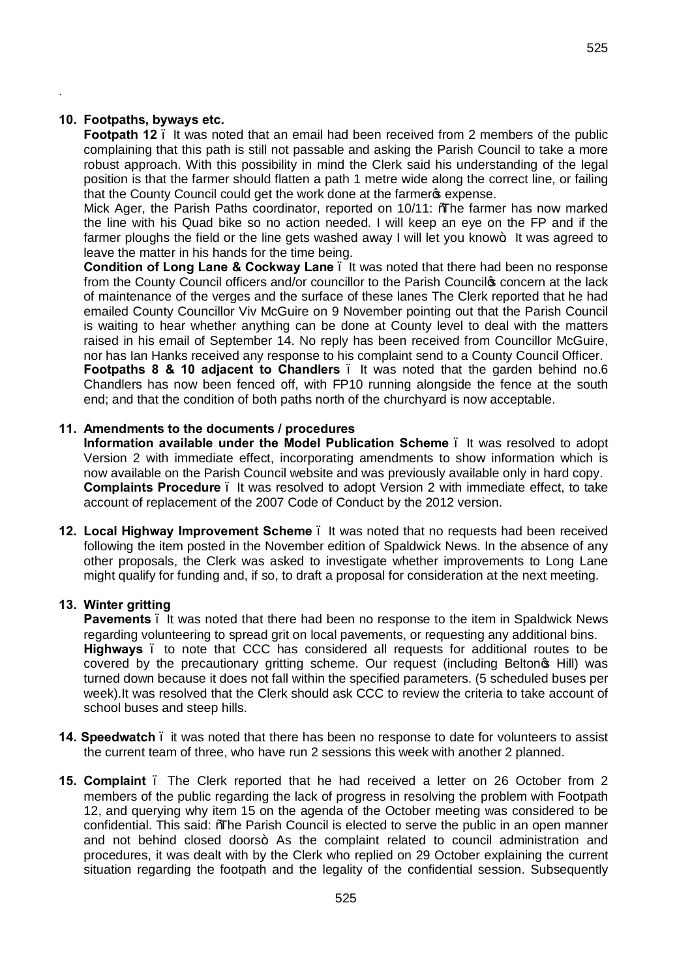### **10. Footpaths, byways etc.**

.

**Footpath 12**. It was noted that an email had been received from 2 members of the public complaining that this path is still not passable and asking the Parish Council to take a more robust approach. With this possibility in mind the Clerk said his understanding of the legal position is that the farmer should flatten a path 1 metre wide along the correct line, or failing that the County Council could get the work done at the farmers expense.

Mick Ager, the Parish Paths coordinator, reported on 10/11: "The farmer has now marked the line with his Quad bike so no action needed. I will keep an eye on the FP and if the farmer ploughs the field or the line gets washed away I will let you know $\pm$  It was agreed to leave the matter in his hands for the time being.

**Condition of Long Lane & Cockway Lane** . It was noted that there had been no response from the County Council officers and/or councillor to the Parish Council<sup>®</sup> concern at the lack of maintenance of the verges and the surface of these lanes The Clerk reported that he had emailed County Councillor Viv McGuire on 9 November pointing out that the Parish Council is waiting to hear whether anything can be done at County level to deal with the matters raised in his email of September 14. No reply has been received from Councillor McGuire, nor has Ian Hanks received any response to his complaint send to a County Council Officer. **Footpaths 8 & 10 adjacent to Chandlers** . It was noted that the garden behind no.6 Chandlers has now been fenced off, with FP10 running alongside the fence at the south end; and that the condition of both paths north of the churchyard is now acceptable.

#### **11. Amendments to the documents / procedures**

**Information available under the Model Publication Scheme** – It was resolved to adopt Version 2 with immediate effect, incorporating amendments to show information which is now available on the Parish Council website and was previously available only in hard copy. **Complaints Procedure** – It was resolved to adopt Version 2 with immediate effect, to take account of replacement of the 2007 Code of Conduct by the 2012 version.

**12. Local Highway Improvement Scheme** – It was noted that no requests had been received following the item posted in the November edition of Spaldwick News. In the absence of any other proposals, the Clerk was asked to investigate whether improvements to Long Lane might qualify for funding and, if so, to draft a proposal for consideration at the next meeting.

#### **13. Winter gritting**

**Pavements** – It was noted that there had been no response to the item in Spaldwick News regarding volunteering to spread grit on local pavements, or requesting any additional bins. **Highways** – to note that CCC has considered all requests for additional routes to be covered by the precautionary gritting scheme. Our request (including Belton of Hill) was turned down because it does not fall within the specified parameters. (5 scheduled buses per week).It was resolved that the Clerk should ask CCC to review the criteria to take account of school buses and steep hills.

- **14. Speedwatch**  it was noted that there has been no response to date for volunteers to assist the current team of three, who have run 2 sessions this week with another 2 planned.
- **15. Complaint**  The Clerk reported that he had received a letter on 26 October from 2 members of the public regarding the lack of progress in resolving the problem with Footpath 12, and querying why item 15 on the agenda of the October meeting was considered to be confidential. This said: %The Parish Council is elected to serve the public in an open manner and not behind closed doors+. As the complaint related to council administration and procedures, it was dealt with by the Clerk who replied on 29 October explaining the current situation regarding the footpath and the legality of the confidential session. Subsequently